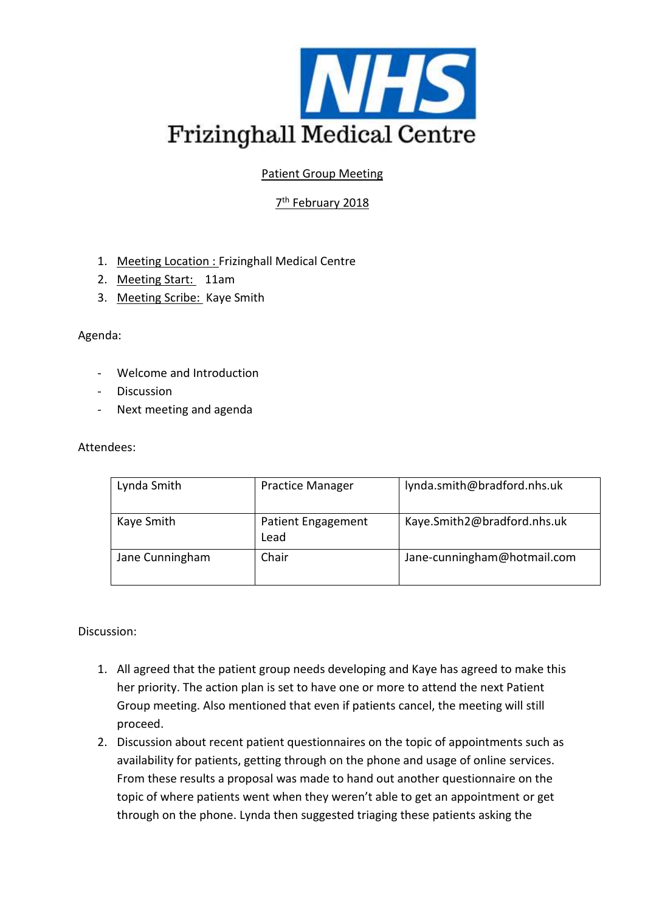

Patient Group Meeting

# 7<sup>th</sup> February 2018

- 1. Meeting Location : Frizinghall Medical Centre
- 2. Meeting Start: 11am
- 3. Meeting Scribe: Kaye Smith

### Agenda:

- Welcome and Introduction
- Discussion
- Next meeting and agenda

### Attendees:

| Lynda Smith     | <b>Practice Manager</b>           | lynda.smith@bradford.nhs.uk |
|-----------------|-----------------------------------|-----------------------------|
| Kaye Smith      | <b>Patient Engagement</b><br>Lead | Kaye.Smith2@bradford.nhs.uk |
| Jane Cunningham | Chair                             | Jane-cunningham@hotmail.com |

### Discussion:

- 1. All agreed that the patient group needs developing and Kaye has agreed to make this her priority. The action plan is set to have one or more to attend the next Patient Group meeting. Also mentioned that even if patients cancel, the meeting will still proceed.
- 2. Discussion about recent patient questionnaires on the topic of appointments such as availability for patients, getting through on the phone and usage of online services. From these results a proposal was made to hand out another questionnaire on the topic of where patients went when they weren't able to get an appointment or get through on the phone. Lynda then suggested triaging these patients asking the